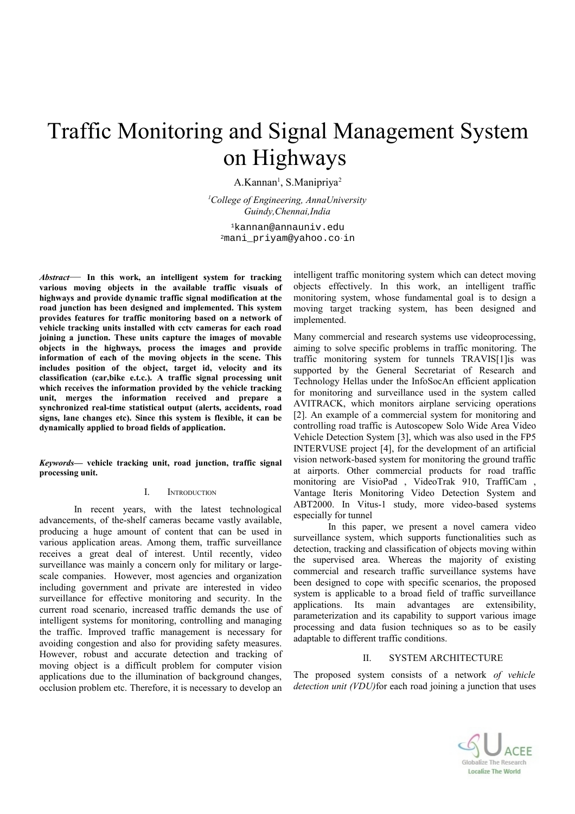# Traffic Monitoring and Signal Management System on Highways

A.Kannan<sup>1</sup>, S.Manipriya<sup>2</sup>

*<sup>1</sup>College of Engineering, AnnaUniversity Guindy,Chennai,India*

<sup>1</sup>kannan@annauniv.edu <sup>2</sup>mani\_priyam@yahoo.co.in

*Abstract*— **In this work, an intelligent system for tracking various moving objects in the available traffic visuals of highways and provide dynamic traffic signal modification at the road junction has been designed and implemented. This system provides features for traffic monitoring based on a network of vehicle tracking units installed with cctv cameras for each road joining a junction. These units capture the images of movable objects in the highways, process the images and provide information of each of the moving objects in the scene. This includes position of the object, target id, velocity and its classification (car,bike e.t.c.). A traffic signal processing unit which receives the information provided by the vehicle tracking unit, merges the information received and prepare a synchronized real-time statistical output (alerts, accidents, road signs, lane changes etc). Since this system is flexible, it can be dynamically applied to broad fields of application.**

*Keywords***— vehicle tracking unit, road junction, traffic signal processing unit.**

#### I. INTRODUCTION

In recent years, with the latest technological advancements, of the-shelf cameras became vastly available, producing a huge amount of content that can be used in various application areas. Among them, traffic surveillance receives a great deal of interest. Until recently, video surveillance was mainly a concern only for military or largescale companies. However, most agencies and organization including government and private are interested in video surveillance for effective monitoring and security. In the current road scenario, increased traffic demands the use of intelligent systems for monitoring, controlling and managing the traffic. Improved traffic management is necessary for avoiding congestion and also for providing safety measures. However, robust and accurate detection and tracking of moving object is a difficult problem for computer vision applications due to the illumination of background changes, occlusion problem etc. Therefore, it is necessary to develop an intelligent traffic monitoring system which can detect moving objects effectively. In this work, an intelligent traffic monitoring system, whose fundamental goal is to design a moving target tracking system, has been designed and implemented.

Many commercial and research systems use videoprocessing, aiming to solve specific problems in traffic monitoring. The traffic monitoring system for tunnels TRAVIS[1]is was supported by the General Secretariat of Research and Technology Hellas under the InfoSocAn efficient application for monitoring and surveillance used in the system called AVITRACK, which monitors airplane servicing operations [2]. An example of a commercial system for monitoring and controlling road traffic is Autoscopew Solo Wide Area Video Vehicle Detection System [3], which was also used in the FP5 INTERVUSE project [4], for the development of an artificial vision network-based system for monitoring the ground traffic at airports. Other commercial products for road traffic monitoring are VisioPad , VideoTrak 910, TraffiCam , Vantage Iteris Monitoring Video Detection System and ABT2000. In Vitus-1 study, more video-based systems especially for tunnel

In this paper, we present a novel camera video surveillance system, which supports functionalities such as detection, tracking and classification of objects moving within the supervised area. Whereas the majority of existing commercial and research traffic surveillance systems have been designed to cope with specific scenarios, the proposed system is applicable to a broad field of traffic surveillance applications. Its main advantages are extensibility, parameterization and its capability to support various image processing and data fusion techniques so as to be easily adaptable to different traffic conditions.

## II. SYSTEM ARCHITECTURE

The proposed system consists of a network *of vehicle detection unit (VDU)*for each road joining a junction that uses

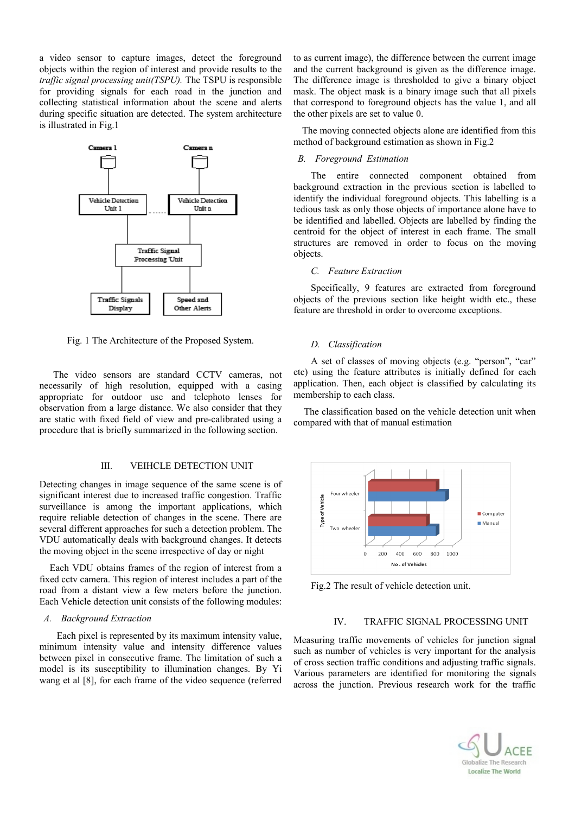a video sensor to capture images, detect the foreground objects within the region of interest and provide results to the *traffic signal processing unit(TSPU).* The TSPU is responsible for providing signals for each road in the junction and collecting statistical information about the scene and alerts during specific situation are detected. The system architecture is illustrated in Fig.1



Fig. 1 The Architecture of the Proposed System.

The video sensors are standard CCTV cameras, not necessarily of high resolution, equipped with a casing appropriate for outdoor use and telephoto lenses for observation from a large distance. We also consider that they are static with fixed field of view and pre-calibrated using a procedure that is briefly summarized in the following section.

#### III. VEIHCLE DETECTION UNIT

Detecting changes in image sequence of the same scene is of significant interest due to increased traffic congestion. Traffic surveillance is among the important applications, which require reliable detection of changes in the scene. There are several different approaches for such a detection problem. The VDU automatically deals with background changes. It detects the moving object in the scene irrespective of day or night

Each VDU obtains frames of the region of interest from a fixed cctv camera. This region of interest includes a part of the road from a distant view a few meters before the junction. Each Vehicle detection unit consists of the following modules:

## *A. Background Extraction*

Each pixel is represented by its maximum intensity value, minimum intensity value and intensity difference values between pixel in consecutive frame. The limitation of such a model is its susceptibility to illumination changes. By Yi wang et al [8], for each frame of the video sequence (referred

to as current image), the difference between the current image and the current background is given as the difference image. The difference image is thresholded to give a binary object mask. The object mask is a binary image such that all pixels that correspond to foreground objects has the value 1, and all the other pixels are set to value 0.

The moving connected objects alone are identified from this method of background estimation as shown in Fig.2

#### *B. Foreground Estimation*

The entire connected component obtained from background extraction in the previous section is labelled to identify the individual foreground objects. This labelling is a tedious task as only those objects of importance alone have to be identified and labelled. Objects are labelled by finding the centroid for the object of interest in each frame. The small structures are removed in order to focus on the moving objects.

#### *C. Feature Extraction*

Specifically, 9 features are extracted from foreground objects of the previous section like height width etc., these feature are threshold in order to overcome exceptions.

## *D. Classification*

A set of classes of moving objects (e.g. "person", "car" etc) using the feature attributes is initially defined for each application. Then, each object is classified by calculating its membership to each class.

The classification based on the vehicle detection unit when compared with that of manual estimation



Fig.2 The result of vehicle detection unit.

### IV. TRAFFIC SIGNAL PROCESSING UNIT

Measuring traffic movements of vehicles for junction signal such as number of vehicles is very important for the analysis of cross section traffic conditions and adjusting traffic signals. Various parameters are identified for monitoring the signals across the junction. Previous research work for the traffic

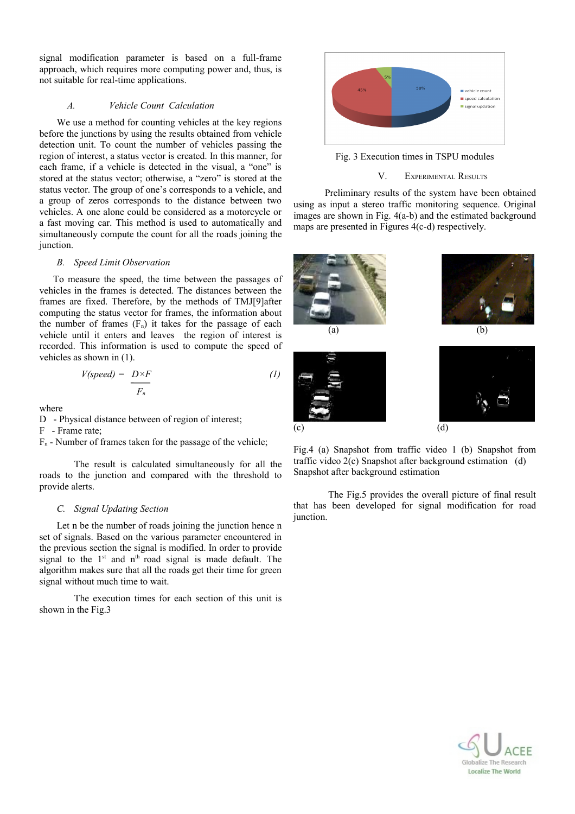signal modification parameter is based on a full-frame approach, which requires more computing power and, thus, is not suitable for real-time applications.

# *A. Vehicle Count Calculation*

We use a method for counting vehicles at the key regions before the junctions by using the results obtained from vehicle detection unit. To count the number of vehicles passing the region of interest, a status vector is created. In this manner, for each frame, if a vehicle is detected in the visual, a "one" is stored at the status vector; otherwise, a "zero" is stored at the status vector. The group of one's corresponds to a vehicle, and a group of zeros corresponds to the distance between two vehicles. A one alone could be considered as a motorcycle or a fast moving car. This method is used to automatically and simultaneously compute the count for all the roads joining the junction.

## *B. Speed Limit Observation*

To measure the speed, the time between the passages of vehicles in the frames is detected. The distances between the frames are fixed. Therefore, by the methods of TMJ[9]after computing the status vector for frames, the information about the number of frames  $(F_n)$  it takes for the passage of each vehicle until it enters and leaves the region of interest is recorded. This information is used to compute the speed of vehicles as shown in (1).

$$
V(speed) = \frac{D \times F}{F_n} \tag{1}
$$

where

D - Physical distance between of region of interest;

F - Frame rate;

 $F_n$  - Number of frames taken for the passage of the vehicle;

The result is calculated simultaneously for all the roads to the junction and compared with the threshold to provide alerts.

#### *C. Signal Updating Section*

Let n be the number of roads joining the junction hence n set of signals. Based on the various parameter encountered in the previous section the signal is modified. In order to provide signal to the  $1<sup>st</sup>$  and  $n<sup>th</sup>$  road signal is made default. The algorithm makes sure that all the roads get their time for green signal without much time to wait.

The execution times for each section of this unit is shown in the Fig.3



Fig. 3 Execution times in TSPU modules

# V. EXPERIMENTAL RESULTS

Preliminary results of the system have been obtained using as input a stereo traffic monitoring sequence. Original images are shown in Fig. 4(a-b) and the estimated background maps are presented in Figures 4(c-d) respectively.



traffic video 2(c) Snapshot after background estimation (d) Snapshot after background estimation

The Fig.5 provides the overall picture of final result that has been developed for signal modification for road junction.